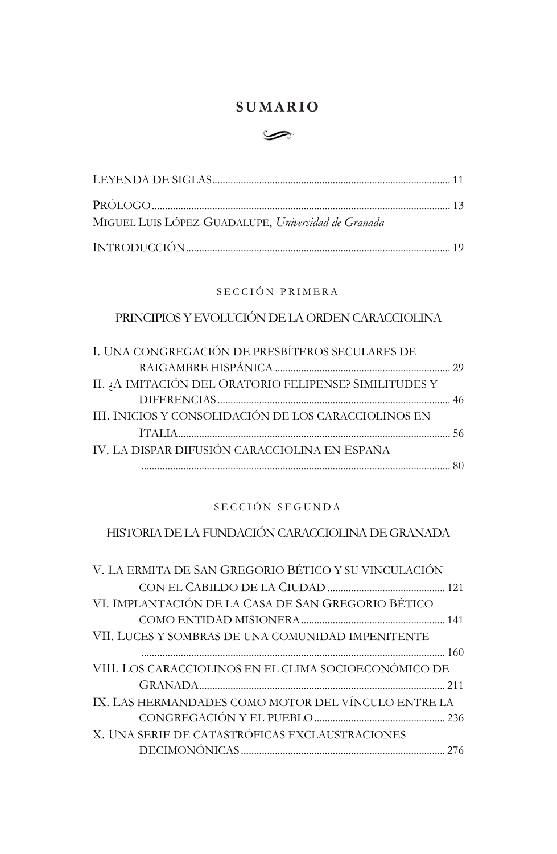## **SUMARIO**



| MIGUEL LUIS LÓPEZ-GUADALUPE, Universidad de Granada |  |
|-----------------------------------------------------|--|
|                                                     |  |

### SECCIÓN PRIMERA

## PRINCIPIOS Y EVOLUCIÓN DE LA ORDEN CARACCIOLINA

| I. UNA CONGREGACIÓN DE PRESBÍTEROS SECULARES DE        |  |
|--------------------------------------------------------|--|
|                                                        |  |
| II. ¿A IMITACIÓN DEL ORATORIO FELIPENSE? SIMILITUDES Y |  |
|                                                        |  |
| III. INICIOS Y CONSOLIDACIÓN DE LOS CARACCIOLINOS EN   |  |
|                                                        |  |
| IV. LA DISPAR DIFUSIÓN CARACCIOLINA EN ESPAÑA          |  |
|                                                        |  |

### SECCIÓN SEGUNDA

# HISTORIA DE LA FUNDACIÓN CARACCIOLINA DE GRANADA

| V. LA ERMITA DE SAN GREGORIO BÉTICO Y SU VINCULACIÓN  |
|-------------------------------------------------------|
|                                                       |
| VI. IMPLANTACIÓN DE LA CASA DE SAN GREGORIO BÉTICO    |
|                                                       |
| VII. LUCES Y SOMBRAS DE UNA COMUNIDAD IMPENITENTE     |
|                                                       |
| VIII. LOS CARACCIOLINOS EN EL CLIMA SOCIOECONÓMICO DE |
|                                                       |
| IX. LAS HERMANDADES COMO MOTOR DEL VÍNCULO ENTRE LA   |
|                                                       |
| X. UNA SERIE DE CATASTRÓFICAS EXCLAUSTRACIONES        |
|                                                       |